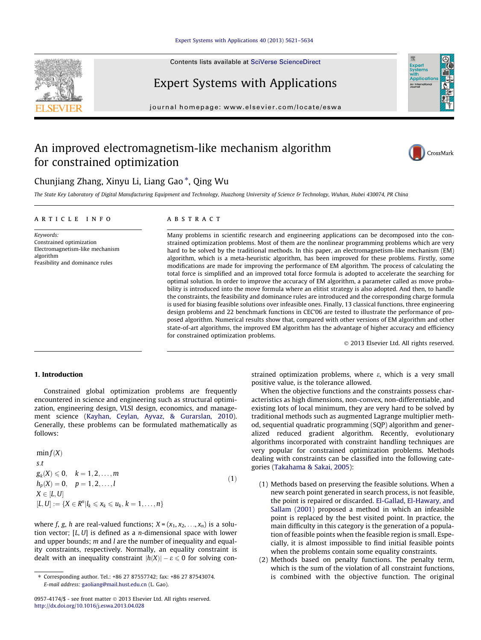# [Expert Systems with Applications 40 \(2013\) 5621–5634](http://dx.doi.org/10.1016/j.eswa.2013.04.028)

Contents lists available at [SciVerse ScienceDirect](http://www.sciencedirect.com/science/journal/09574174)

# Expert Systems with Applications

journal homepage: [www.elsevier.com/locate/eswa](http://www.elsevier.com/locate/eswa)

# An improved electromagnetism-like mechanism algorithm for constrained optimization



The State Key Laboratory of Digital Manufacturing Equipment and Technology, Huazhong University of Science & Technology, Wuhan, Hubei 430074, PR China

#### article info

Keywords: Constrained optimization Electromagnetism-like mechanism algorithm Feasibility and dominance rules

### ABSTRACT

Many problems in scientific research and engineering applications can be decomposed into the constrained optimization problems. Most of them are the nonlinear programming problems which are very hard to be solved by the traditional methods. In this paper, an electromagnetism-like mechanism (EM) algorithm, which is a meta-heuristic algorithm, has been improved for these problems. Firstly, some modifications are made for improving the performance of EM algorithm. The process of calculating the total force is simplified and an improved total force formula is adopted to accelerate the searching for optimal solution. In order to improve the accuracy of EM algorithm, a parameter called as move probability is introduced into the move formula where an elitist strategy is also adopted. And then, to handle the constraints, the feasibility and dominance rules are introduced and the corresponding charge formula is used for biasing feasible solutions over infeasible ones. Finally, 13 classical functions, three engineering design problems and 22 benchmark functions in CEC'06 are tested to illustrate the performance of proposed algorithm. Numerical results show that, compared with other versions of EM algorithm and other state-of-art algorithms, the improved EM algorithm has the advantage of higher accuracy and efficiency for constrained optimization problems.

- 2013 Elsevier Ltd. All rights reserved.

## 1. Introduction

Constrained global optimization problems are frequently encountered in science and engineering such as structural optimization, engineering design, VLSI design, economics, and management science [\(Kayhan, Ceylan, Ayvaz, & Gurarslan, 2010\)](#page--1-0). Generally, these problems can be formulated mathematically as follows:

 $min f(X)$ s:t  $g_k(X) \leq 0, \quad k = 1, 2, \ldots, m$  $h_p(X) = 0, \quad p = 1, 2, \ldots, l$  $X \in [L,U]$  $[L, U] := \{ X \in R^n | l_k \leq x_k \leq u_k, k = 1, \ldots, n \}$  $(1)$ 

where f, g, h are real-valued functions;  $X = (x_1, x_2, \ldots, x_n)$  is a solution vector;  $[L, U]$  is defined as a *n*-dimensional space with lower and upper bounds;  $m$  and  $l$  are the number of inequality and equality constraints, respectively. Normally, an equality constraint is dealt with an inequality constraint  $|h(X)| - \varepsilon \leq 0$  for solving constrained optimization problems, where  $\varepsilon$ , which is a very small positive value, is the tolerance allowed.

When the objective functions and the constraints possess characteristics as high dimensions, non-convex, non-differentiable, and existing lots of local minimum, they are very hard to be solved by traditional methods such as augmented Lagrange multiplier method, sequential quadratic programming (SQP) algorithm and generalized reduced gradient algorithm. Recently, evolutionary algorithms incorporated with constraint handling techniques are very popular for constrained optimization problems. Methods dealing with constraints can be classified into the following categories ([Takahama & Sakai, 2005\)](#page--1-0):

- (1) Methods based on preserving the feasible solutions. When a new search point generated in search process, is not feasible, the point is repaired or discarded. [El-Gallad, El-Hawary, and](#page--1-0) [Sallam \(2001\)](#page--1-0) proposed a method in which an infeasible point is replaced by the best visited point. In practice, the main difficulty in this category is the generation of a population of feasible points when the feasible region is small. Especially, it is almost impossible to find initial feasible points when the problems contain some equality constraints.
- (2) Methods based on penalty functions. The penalty term, which is the sum of the violation of all constraint functions, is combined with the objective function. The original







<sup>⇑</sup> Corresponding author. Tel.: +86 27 87557742; fax: +86 27 87543074. E-mail address: [gaoliang@mail.hust.edu.cn](mailto:gaoliang@mail.hust.edu.cn) (L. Gao).

<sup>0957-4174/\$ -</sup> see front matter © 2013 Elsevier Ltd. All rights reserved. <http://dx.doi.org/10.1016/j.eswa.2013.04.028>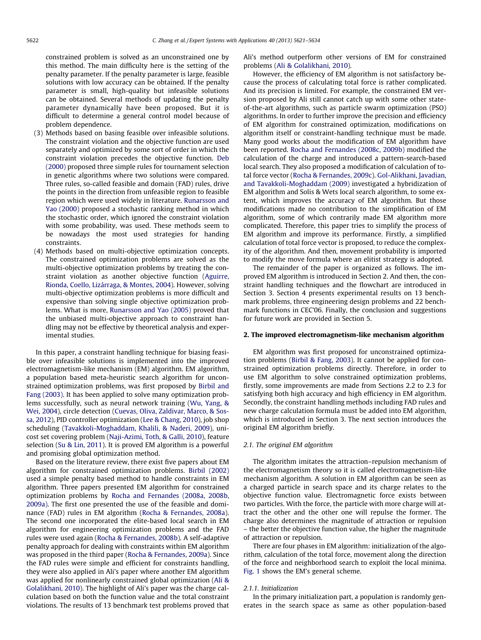constrained problem is solved as an unconstrained one by this method. The main difficulty here is the setting of the penalty parameter. If the penalty parameter is large, feasible solutions with low accuracy can be obtained. If the penalty parameter is small, high-quality but infeasible solutions can be obtained. Several methods of updating the penalty parameter dynamically have been proposed. But it is difficult to determine a general control model because of problem dependence.

- (3) Methods based on basing feasible over infeasible solutions. The constraint violation and the objective function are used separately and optimized by some sort of order in which the constraint violation precedes the objective function. [Deb](#page--1-0) [\(2000\)](#page--1-0) proposed three simple rules for tournament selection in genetic algorithms where two solutions were compared. Three rules, so-called feasible and domain (FAD) rules, drive the points in the direction from unfeasible region to feasible region which were used widely in literature. [Runarsson and](#page--1-0) [Yao \(2000\)](#page--1-0) proposed a stochastic ranking method in which the stochastic order, which ignored the constraint violation with some probability, was used. These methods seem to be nowadays the most used strategies for handing constraints.
- (4) Methods based on multi-objective optimization concepts. The constrained optimization problems are solved as the multi-objective optimization problems by treating the constraint violation as another objective function ([Aguirre,](#page--1-0) [Rionda, Coello, Lizárraga, & Montes, 2004\)](#page--1-0). However, solving multi-objective optimization problems is more difficult and expensive than solving single objective optimization problems. What is more, [Runarsson and Yao \(2005\)](#page--1-0) proved that the unbiased multi-objective approach to constraint handling may not be effective by theoretical analysis and experimental studies.

In this paper, a constraint handling technique for biasing feasible over infeasible solutions is implemented into the improved electromagnetism-like mechanism (EM) algorithm. EM algorithm, a population based meta-heuristic search algorithm for unconstrained optimization problems, was first proposed by [Birbil and](#page--1-0) [Fang \(2003\).](#page--1-0) It has been applied to solve many optimization problems successfully, such as neural network training [\(Wu, Yang, &](#page--1-0) [Wei, 2004](#page--1-0)), circle detection [\(Cuevas, Oliva, Zaldivar, Marco, & Sos](#page--1-0)[sa, 2012](#page--1-0)), PID controller optimization [\(Lee & Chang, 2010](#page--1-0)), job shop scheduling ([Tavakkoli-Moghaddam, Khalili, & Naderi, 2009\)](#page--1-0), unicost set covering problem [\(Naji-Azimi, Toth, & Galli, 2010\)](#page--1-0), feature selection ([Su & Lin, 2011\)](#page--1-0). It is proved EM algorithm is a powerful and promising global optimization method.

Based on the literature review, there exist five papers about EM algorithm for constrained optimization problems. [Birbil \(2002\)](#page--1-0) used a simple penalty based method to handle constraints in EM algorithm. Three papers presented EM algorithm for constrained optimization problems by [Rocha and Fernandes \(2008a, 2008b,](#page--1-0) [2009a\).](#page--1-0) The first one presented the use of the feasible and dominance (FAD) rules in EM algorithm [\(Rocha & Fernandes, 2008a\)](#page--1-0). The second one incorporated the elite-based local search in EM algorithm for engineering optimization problems and the FAD rules were used again [\(Rocha & Fernandes, 2008b](#page--1-0)). A self-adaptive penalty approach for dealing with constraints within EM algorithm was proposed in the third paper [\(Rocha & Fernandes, 2009a\)](#page--1-0). Since the FAD rules were simple and efficient for constraints handling, they were also applied in Ali's paper where another EM algorithm was applied for nonlinearly constrained global optimization [\(Ali &](#page--1-0) [Golalikhani, 2010\)](#page--1-0). The highlight of Ali's paper was the charge calculation based on both the function value and the total constraint violations. The results of 13 benchmark test problems proved that Ali's method outperform other versions of EM for constrained problems ([Ali & Golalikhani, 2010\)](#page--1-0).

However, the efficiency of EM algorithm is not satisfactory because the process of calculating total force is rather complicated. And its precision is limited. For example, the constrained EM version proposed by Ali still cannot catch up with some other stateof-the-art algorithms, such as particle swarm optimization (PSO) algorithms. In order to further improve the precision and efficiency of EM algorithm for constrained optimization, modifications on algorithm itself or constraint-handling technique must be made. Many good works about the modification of EM algorithm have been reported. [Rocha and Fernandes \(2008c, 2009b\)](#page--1-0) modified the calculation of the charge and introduced a pattern-search-based local search. They also proposed a modification of calculation of total force vector ([Rocha & Fernandes, 2009c\)](#page--1-0). [Gol-Alikhani, Javadian,](#page--1-0) [and Tavakkoli-Moghaddam \(2009\)](#page--1-0) investigated a hybridization of EM algorithm and Solis & Wets local search algorithm, to some extent, which improves the accuracy of EM algorithm. But those modifications made no contribution to the simplification of EM algorithm, some of which contrarily made EM algorithm more complicated. Therefore, this paper tries to simplify the process of EM algorithm and improve its performance. Firstly, a simplified calculation of total force vector is proposed, to reduce the complexity of the algorithm. And then, movement probability is imported to modify the move formula where an elitist strategy is adopted.

The remainder of the paper is organized as follows. The improved EM algorithm is introduced in Section 2. And then, the constraint handling techniques and the flowchart are introduced in Section 3. Section 4 presents experimental results on 13 benchmark problems, three engineering design problems and 22 benchmark functions in CEC'06. Finally, the conclusion and suggestions for future work are provided in Section 5.

#### 2. The improved electromagnetism-like mechanism algorithm

EM algorithm was first proposed for unconstrained optimization problems [\(Birbil & Fang, 2003\)](#page--1-0). It cannot be applied for constrained optimization problems directly. Therefore, in order to use EM algorithm to solve constrained optimization problems, firstly, some improvements are made from Sections 2.2 to 2.3 for satisfying both high accuracy and high efficiency in EM algorithm. Secondly, the constraint handling methods including FAD rules and new charge calculation formula must be added into EM algorithm, which is introduced in Section 3. The next section introduces the original EM algorithm briefly.

#### 2.1. The original EM algorithm

The algorithm imitates the attraction–repulsion mechanism of the electromagnetism theory so it is called electromagnetism-like mechanism algorithm. A solution in EM algorithm can be seen as a charged particle in search space and its charge relates to the objective function value. Electromagnetic force exists between two particles. With the force, the particle with more charge will attract the other and the other one will repulse the former. The charge also determines the magnitude of attraction or repulsion – the better the objective function value, the higher the magnitude of attraction or repulsion.

There are four phases in EM algorithm: initialization of the algorithm, calculation of the total force, movement along the direction of the force and neighborhood search to exploit the local minima. [Fig. 1](#page--1-0) shows the EM's general scheme.

## 2.1.1. Initialization

In the primary initialization part, a population is randomly generates in the search space as same as other population-based